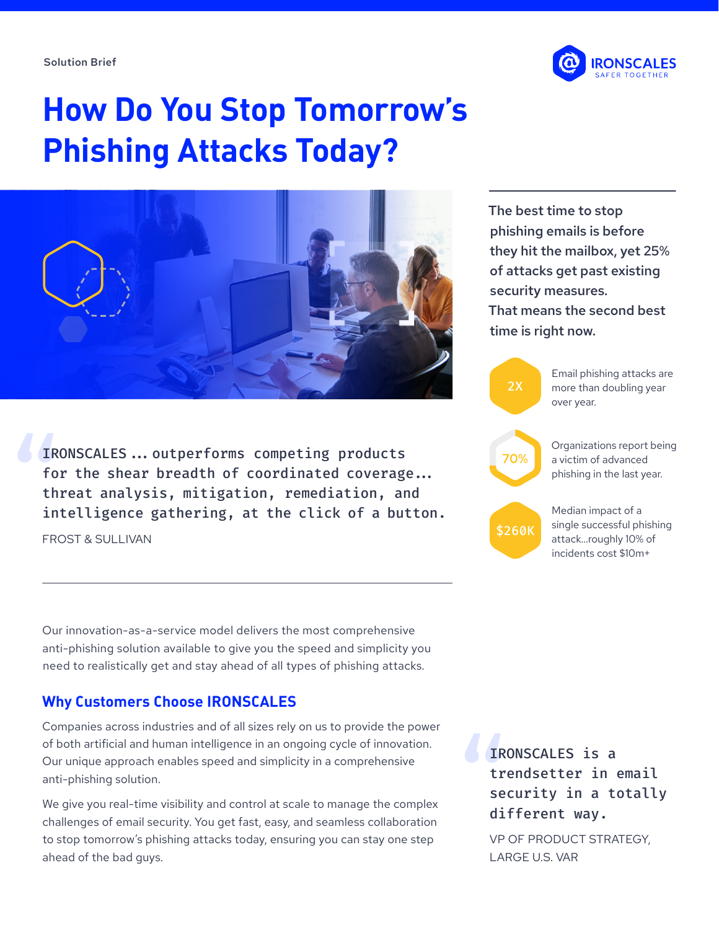Solution Brief



# **How Do You Stop Tomorrow's Phishing Attacks Today?**



IRONSCALES...outperforms competing products for the shear breadth of coordinated coverage... threat analysis, mitigation, remediation, and intelligence gathering, at the click of a button.

FROST & SULLIVAN

Our innovation-as-a-service model delivers the most comprehensive anti-phishing solution available to give you the speed and simplicity you need to realistically get and stay ahead of all types of phishing attacks.

## **Why Customers Choose IRONSCALES**

Companies across industries and of all sizes rely on us to provide the power of both artificial and human intelligence in an ongoing cycle of innovation. Our unique approach enables speed and simplicity in a comprehensive anti-phishing solution.

We give you real-time visibility and control at scale to manage the complex challenges of email security. You get fast, easy, and seamless collaboration to stop tomorrow's phishing attacks today, ensuring you can stay one step ahead of the bad guys.

The best time to stop phishing emails is before they hit the mailbox, yet 25% of attacks get past existing security measures. That means the second best



IRONSCALES is a trendsetter in email security in a totally different way.

VP OF PRODUCT STRATEGY, LARGE U.S. VAR